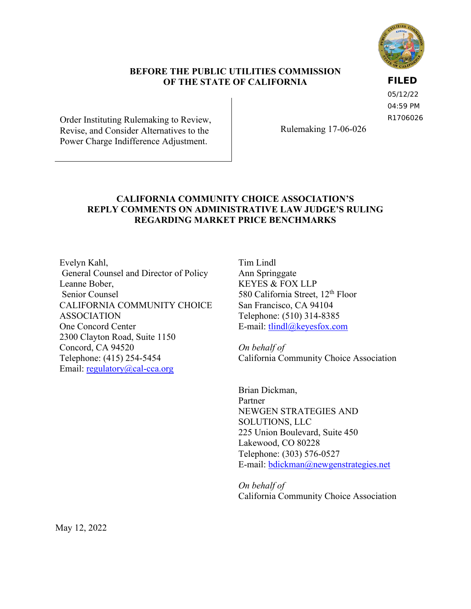

#### **BEFORE THE PUBLIC UTILITIES COMMISSION OF THE STATE OF CALIFORNIA**

**FILED**

05/12/22 04:59 PM R1706026

Order Instituting Rulemaking to Review, Revise, and Consider Alternatives to the Power Charge Indifference Adjustment.

Rulemaking 17-06-026

## **CALIFORNIA COMMUNITY CHOICE ASSOCIATION'S REPLY COMMENTS ON ADMINISTRATIVE LAW JUDGE'S RULING REGARDING MARKET PRICE BENCHMARKS**

Evelyn Kahl, General Counsel and Director of Policy Leanne Bober, Senior Counsel CALIFORNIA COMMUNITY CHOICE ASSOCIATION One Concord Center 2300 Clayton Road, Suite 1150 Concord, CA 94520 Telephone: (415) 254-5454 Email: [regulatory@cal-cca.org](mailto:regulatory@cal-cca.org)

Tim Lindl Ann Springgate KEYES & FOX LLP 580 California Street, 12<sup>th</sup> Floor San Francisco, CA 94104 Telephone: (510) 314-8385 E-mail: [tlindl@keyesfox.com](mailto:tlindl@keyesfox.com)

*On behalf of*  California Community Choice Association

Brian Dickman, Partner NEWGEN STRATEGIES AND SOLUTIONS, LLC 225 Union Boulevard, Suite 450 Lakewood, CO 80228 Telephone: (303) 576-0527 E-mail: [bdickman@newgenstrategies.net](mailto:bdickman@newgenstrategies.net)

*On behalf of*  California Community Choice Association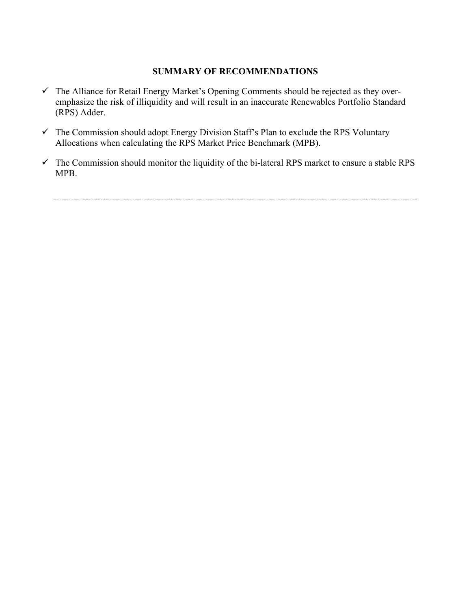### **SUMMARY OF RECOMMENDATIONS**

- $\checkmark$  The Alliance for Retail Energy Market's Opening Comments should be rejected as they overemphasize the risk of illiquidity and will result in an inaccurate Renewables Portfolio Standard (RPS) Adder.
- $\checkmark$  The Commission should adopt Energy Division Staff's Plan to exclude the RPS Voluntary Allocations when calculating the RPS Market Price Benchmark (MPB).
- $\checkmark$  The Commission should monitor the liquidity of the bi-lateral RPS market to ensure a stable RPS MPB.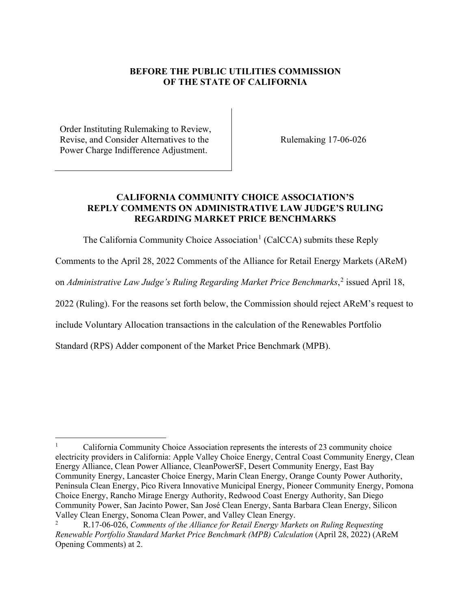## **BEFORE THE PUBLIC UTILITIES COMMISSION OF THE STATE OF CALIFORNIA**

Order Instituting Rulemaking to Review, Revise, and Consider Alternatives to the Power Charge Indifference Adjustment.

Rulemaking 17-06-026

### **CALIFORNIA COMMUNITY CHOICE ASSOCIATION'S REPLY COMMENTS ON ADMINISTRATIVE LAW JUDGE'S RULING REGARDING MARKET PRICE BENCHMARKS**

The California Community Choice Association<sup>[1](#page-2-0)</sup> (CalCCA) submits these Reply

Comments to the April 28, 2022 Comments of the Alliance for Retail Energy Markets (AReM)

on *Administrative Law Judge's Ruling Regarding Market Price Benchmarks*,<sup>[2](#page-2-1)</sup> issued April 18,

2022 (Ruling). For the reasons set forth below, the Commission should reject AReM's request to

include Voluntary Allocation transactions in the calculation of the Renewables Portfolio

Standard (RPS) Adder component of the Market Price Benchmark (MPB).

<span id="page-2-0"></span><sup>1</sup> California Community Choice Association represents the interests of 23 community choice electricity providers in California: Apple Valley Choice Energy, Central Coast Community Energy, Clean Energy Alliance, Clean Power Alliance, CleanPowerSF, Desert Community Energy, East Bay Community Energy, Lancaster Choice Energy, Marin Clean Energy, Orange County Power Authority, Peninsula Clean Energy, Pico Rivera Innovative Municipal Energy, Pioneer Community Energy, Pomona Choice Energy, Rancho Mirage Energy Authority, Redwood Coast Energy Authority, San Diego Community Power, San Jacinto Power, San José Clean Energy, Santa Barbara Clean Energy, Silicon Valley Clean Energy, Sonoma Clean Power, and Valley Clean Energy.

<span id="page-2-1"></span><sup>2</sup> R.17-06-026, *Comments of the Alliance for Retail Energy Markets on Ruling Requesting Renewable Portfolio Standard Market Price Benchmark (MPB) Calculation* (April 28, 2022) (AReM Opening Comments) at 2.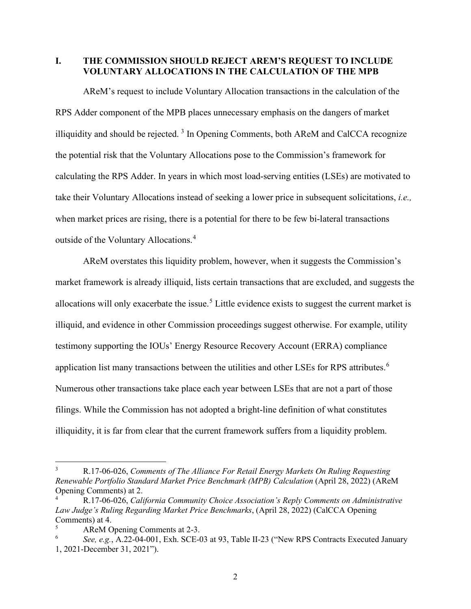**I. THE COMMISSION SHOULD REJECT AREM'S REQUEST TO INCLUDE VOLUNTARY ALLOCATIONS IN THE CALCULATION OF THE MPB**

AReM's request to include Voluntary Allocation transactions in the calculation of the RPS Adder component of the MPB places unnecessary emphasis on the dangers of market illiquidity and should be rejected.<sup>[3](#page-3-0)</sup> In Opening Comments, both AReM and CalCCA recognize the potential risk that the Voluntary Allocations pose to the Commission's framework for calculating the RPS Adder. In years in which most load-serving entities (LSEs) are motivated to take their Voluntary Allocations instead of seeking a lower price in subsequent solicitations, *i.e.,*  when market prices are rising, there is a potential for there to be few bi-lateral transactions outside of the Voluntary Allocations.[4](#page-3-1)

AReM overstates this liquidity problem, however, when it suggests the Commission's market framework is already illiquid, lists certain transactions that are excluded, and suggests the allocations will only exacerbate the issue.<sup>[5](#page-3-2)</sup> Little evidence exists to suggest the current market is illiquid, and evidence in other Commission proceedings suggest otherwise. For example, utility testimony supporting the IOUs' Energy Resource Recovery Account (ERRA) compliance application list many transactions between the utilities and other LSEs for RPS attributes.<sup>[6](#page-3-3)</sup> Numerous other transactions take place each year between LSEs that are not a part of those filings. While the Commission has not adopted a bright-line definition of what constitutes illiquidity, it is far from clear that the current framework suffers from a liquidity problem.

<span id="page-3-0"></span><sup>3</sup> R.17-06-026, *Comments of The Alliance For Retail Energy Markets On Ruling Requesting Renewable Portfolio Standard Market Price Benchmark (MPB) Calculation* (April 28, 2022) (AReM Opening Comments) at 2. 4

<span id="page-3-1"></span>R.17-06-026, *California Community Choice Association's Reply Comments on Administrative Law Judge's Ruling Regarding Market Price Benchmarks*, (April 28, 2022) (CalCCA Opening Comments) at 4.

<span id="page-3-2"></span><sup>5</sup> AReM Opening Comments at 2-3.

<span id="page-3-3"></span><sup>6</sup> *See, e.g.*, A.22-04-001, Exh. SCE-03 at 93, Table II-23 ("New RPS Contracts Executed January 1, 2021-December 31, 2021").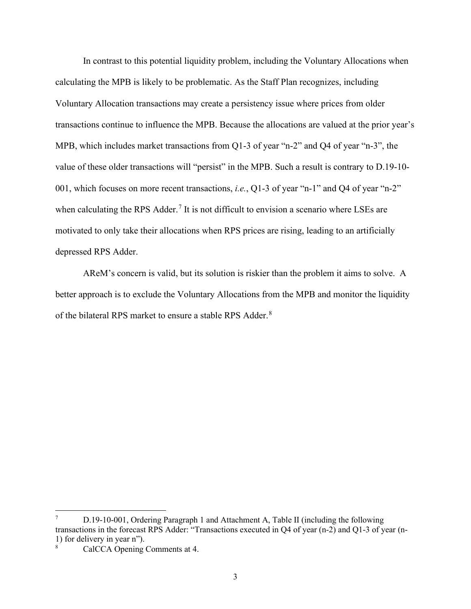In contrast to this potential liquidity problem, including the Voluntary Allocations when calculating the MPB is likely to be problematic. As the Staff Plan recognizes, including Voluntary Allocation transactions may create a persistency issue where prices from older transactions continue to influence the MPB. Because the allocations are valued at the prior year's MPB, which includes market transactions from Q1-3 of year "n-2" and Q4 of year "n-3", the value of these older transactions will "persist" in the MPB. Such a result is contrary to D.19-10- 001, which focuses on more recent transactions, *i.e.*, Q1-3 of year "n-1" and Q4 of year "n-2" when calculating the RPS Adder.<sup>[7](#page-4-0)</sup> It is not difficult to envision a scenario where LSEs are motivated to only take their allocations when RPS prices are rising, leading to an artificially depressed RPS Adder.

AReM's concern is valid, but its solution is riskier than the problem it aims to solve. A better approach is to exclude the Voluntary Allocations from the MPB and monitor the liquidity of the bilateral RPS market to ensure a stable RPS Adder.<sup>[8](#page-4-1)</sup>

<span id="page-4-0"></span><sup>7</sup> D.19-10-001, Ordering Paragraph 1 and Attachment A, Table II (including the following transactions in the forecast RPS Adder: "Transactions executed in Q4 of year (n-2) and Q1-3 of year (n-1) for delivery in year n").

<span id="page-4-1"></span><sup>8</sup> CalCCA Opening Comments at 4.